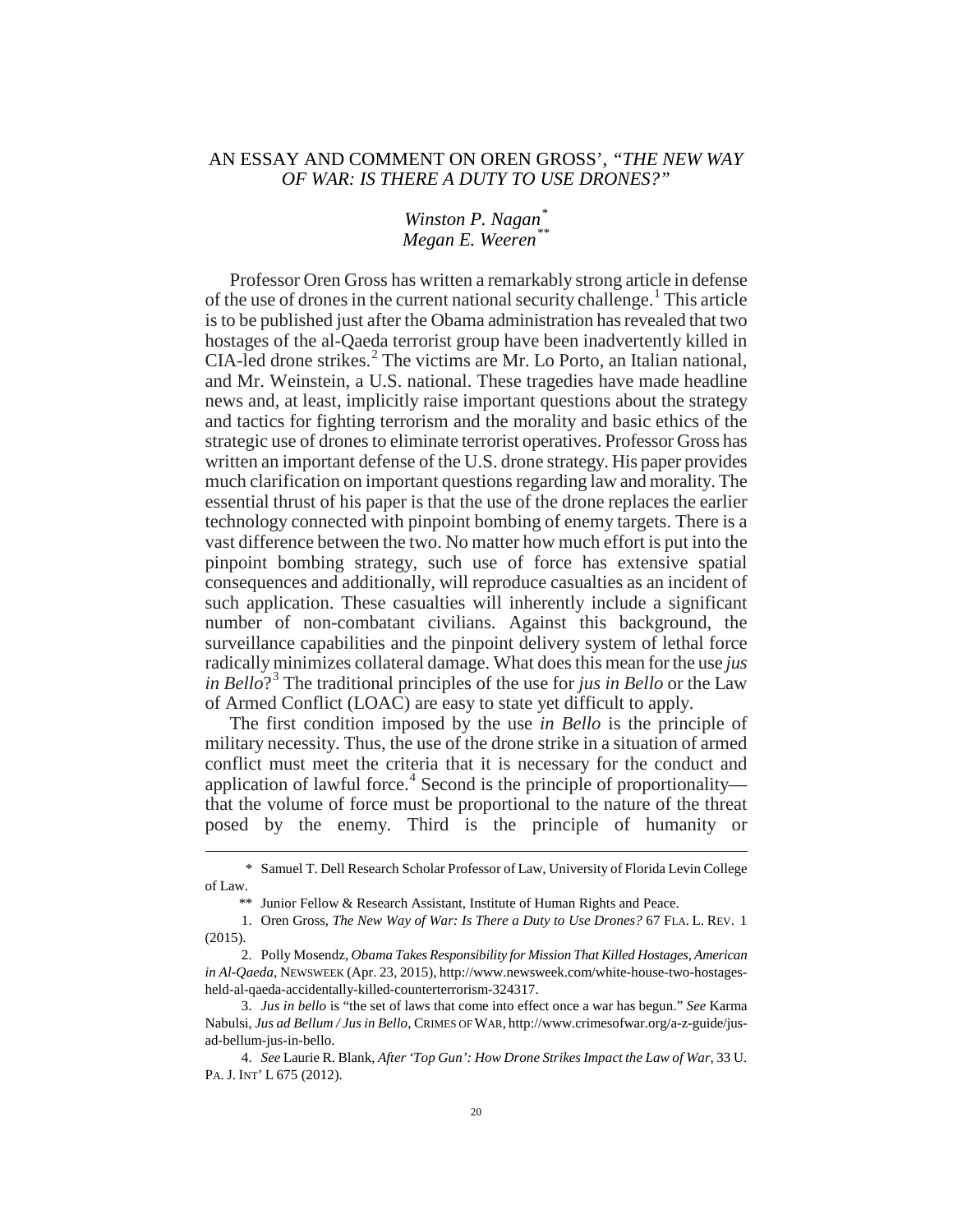## AN ESSAY AND COMMENT ON OREN GROSS', *"THE NEW WAY OF WAR: IS THERE A DUTY TO USE DRONES?"*

*Winston P. Nagan[\\*](#page-0-0) Megan E. Weeren[\\*\\*](#page-0-1)*

Professor Oren Gross has written a remarkably strong article in defense of the use of drones in the current national security challenge.<sup>[1](#page-0-2)</sup> This article is to be published just after the Obama administration has revealed that two hostages of the al-Qaeda terrorist group have been inadvertently killed in CIA-led drone strikes.<sup>[2](#page-0-3)</sup> The victims are Mr. Lo Porto, an Italian national, and Mr. Weinstein, a U.S. national. These tragedies have made headline news and, at least, implicitly raise important questions about the strategy and tactics for fighting terrorism and the morality and basic ethics of the strategic use of drones to eliminate terrorist operatives. Professor Gross has written an important defense of the U.S. drone strategy. His paper provides much clarification on important questions regarding law and morality. The essential thrust of his paper is that the use of the drone replaces the earlier technology connected with pinpoint bombing of enemy targets. There is a vast difference between the two. No matter how much effort is put into the pinpoint bombing strategy, such use of force has extensive spatial consequences and additionally, will reproduce casualties as an incident of such application. These casualties will inherently include a significant number of non-combatant civilians. Against this background, the surveillance capabilities and the pinpoint delivery system of lethal force radically minimizes collateral damage. What does this mean for the use *jus in Bello*?[3](#page-0-4) The traditional principles of the use for *jus in Bello* or the Law of Armed Conflict (LOAC) are easy to state yet difficult to apply.

The first condition imposed by the use *in Bello* is the principle of military necessity. Thus, the use of the drone strike in a situation of armed conflict must meet the criteria that it is necessary for the conduct and application of lawful force.<sup>[4](#page-0-5)</sup> Second is the principle of proportionality that the volume of force must be proportional to the nature of the threat posed by the enemy. Third is the principle of humanity or

<span id="page-0-0"></span> <sup>\*</sup> Samuel T. Dell Research Scholar Professor of Law, University of Florida Levin College of Law.

<sup>\*\*</sup> Junior Fellow & Research Assistant, Institute of Human Rights and Peace.

<span id="page-0-2"></span><span id="page-0-1"></span><sup>1.</sup> Oren Gross, *The New Way of War: Is There a Duty to Use Drones?* 67 FLA. L. REV. 1 (2015).

<span id="page-0-3"></span><sup>2.</sup> Polly Mosendz, *Obama Takes Responsibility for Mission That Killed Hostages, American in Al-Qaeda*, NEWSWEEK (Apr. 23, 2015), http://www.newsweek.com/white-house-two-hostagesheld-al-qaeda-accidentally-killed-counterterrorism-324317.

<span id="page-0-4"></span><sup>3.</sup> *Jus in bello* is "the set of laws that come into effect once a war has begun." *See* Karma Nabulsi, *Jus ad Bellum / Jus in Bello*, CRIMES OF WAR, http://www.crimesofwar.org/a-z-guide/jusad-bellum-jus-in-bello.

<span id="page-0-5"></span><sup>4.</sup> *See* Laurie R. Blank, *After 'Top Gun': How Drone Strikes Impact the Law of War*, 33 U. PA. J. INT' L 675 (2012).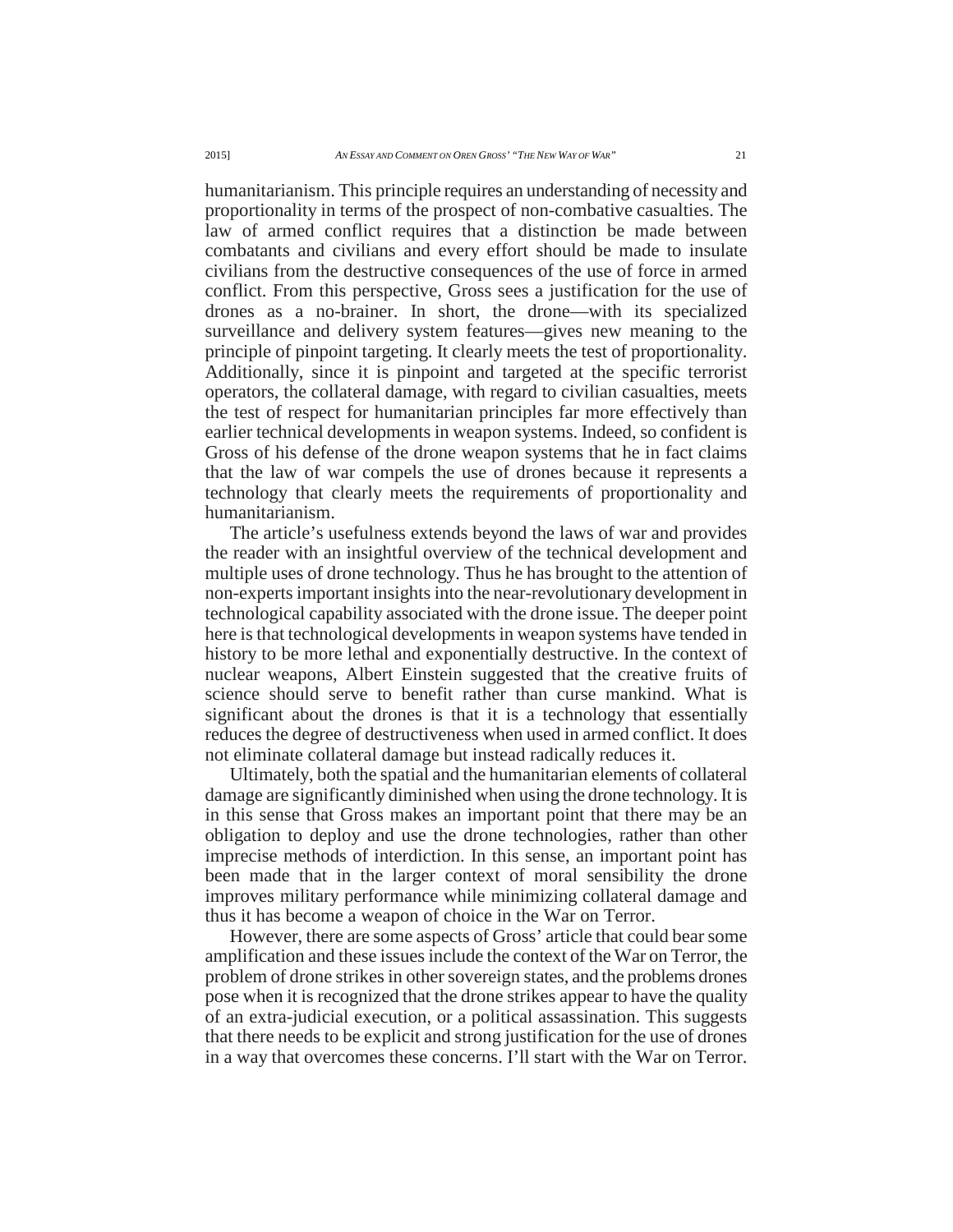humanitarianism. This principle requires an understanding of necessity and proportionality in terms of the prospect of non-combative casualties. The law of armed conflict requires that a distinction be made between combatants and civilians and every effort should be made to insulate civilians from the destructive consequences of the use of force in armed conflict. From this perspective, Gross sees a justification for the use of drones as a no-brainer. In short, the drone—with its specialized surveillance and delivery system features—gives new meaning to the principle of pinpoint targeting. It clearly meets the test of proportionality. Additionally, since it is pinpoint and targeted at the specific terrorist operators, the collateral damage, with regard to civilian casualties, meets the test of respect for humanitarian principles far more effectively than earlier technical developments in weapon systems. Indeed, so confident is Gross of his defense of the drone weapon systems that he in fact claims that the law of war compels the use of drones because it represents a technology that clearly meets the requirements of proportionality and humanitarianism.

The article's usefulness extends beyond the laws of war and provides the reader with an insightful overview of the technical development and multiple uses of drone technology. Thus he has brought to the attention of non-experts important insights into the near-revolutionary development in technological capability associated with the drone issue. The deeper point here is that technological developments in weapon systems have tended in history to be more lethal and exponentially destructive. In the context of nuclear weapons, Albert Einstein suggested that the creative fruits of science should serve to benefit rather than curse mankind. What is significant about the drones is that it is a technology that essentially reduces the degree of destructiveness when used in armed conflict. It does not eliminate collateral damage but instead radically reduces it.

Ultimately, both the spatial and the humanitarian elements of collateral damage are significantly diminished when using the drone technology. It is in this sense that Gross makes an important point that there may be an obligation to deploy and use the drone technologies, rather than other imprecise methods of interdiction. In this sense, an important point has been made that in the larger context of moral sensibility the drone improves military performance while minimizing collateral damage and thus it has become a weapon of choice in the War on Terror.

However, there are some aspects of Gross' article that could bear some amplification and these issues include the context of the War on Terror, the problem of drone strikes in other sovereign states, and the problems drones pose when it is recognized that the drone strikes appear to have the quality of an extra-judicial execution, or a political assassination. This suggests that there needs to be explicit and strong justification for the use of drones in a way that overcomes these concerns. I'll start with the War on Terror.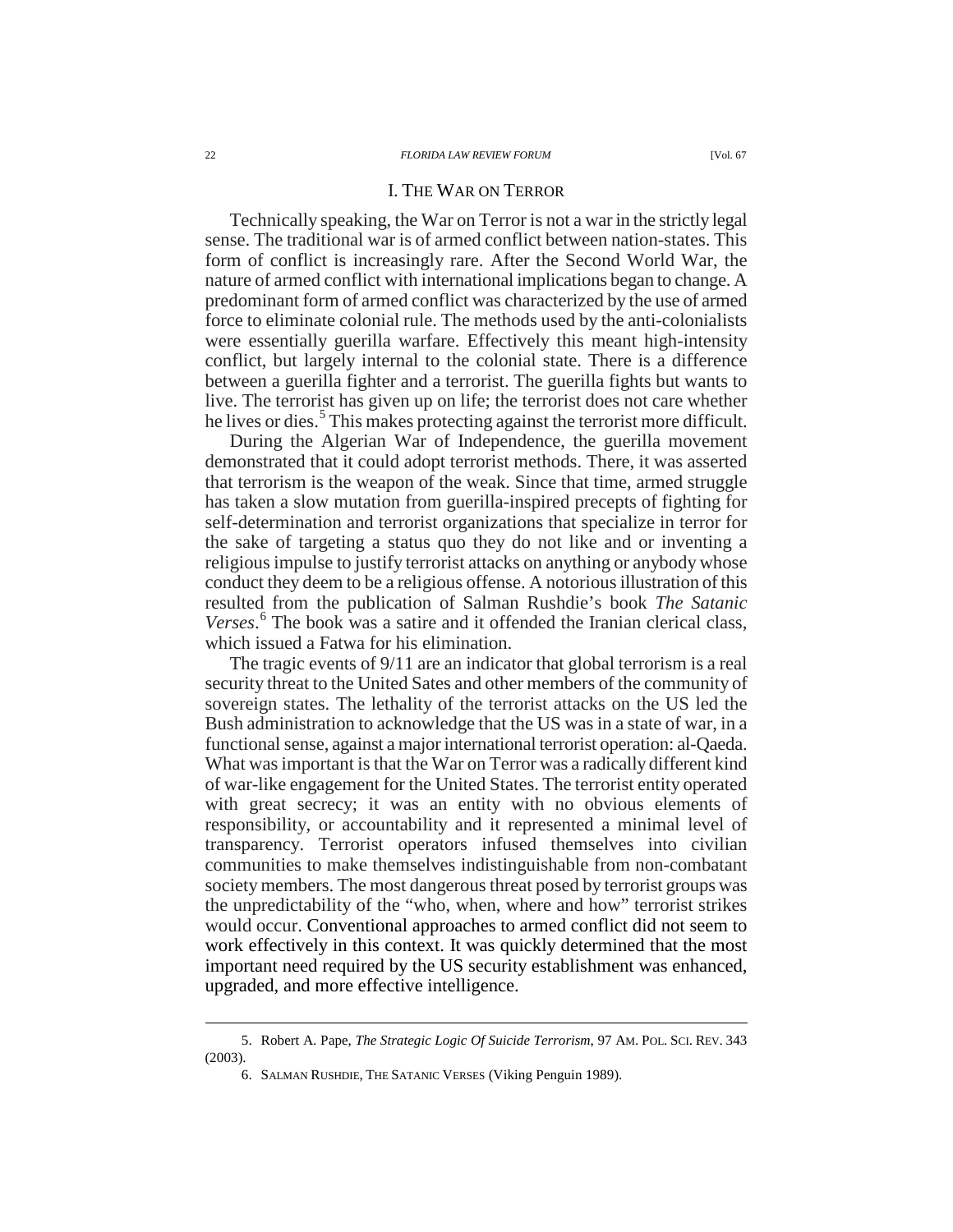## I. THE WAR ON TERROR

Technically speaking, the War on Terror is not a war in the strictly legal sense. The traditional war is of armed conflict between nation-states. This form of conflict is increasingly rare. After the Second World War, the nature of armed conflict with international implications began to change. A predominant form of armed conflict was characterized by the use of armed force to eliminate colonial rule. The methods used by the anti-colonialists were essentially guerilla warfare. Effectively this meant high-intensity conflict, but largely internal to the colonial state. There is a difference between a guerilla fighter and a terrorist. The guerilla fights but wants to live. The terrorist has given up on life; the terrorist does not care whether he lives or dies.<sup>[5](#page-2-0)</sup> This makes protecting against the terrorist more difficult.

During the Algerian War of Independence, the guerilla movement demonstrated that it could adopt terrorist methods. There, it was asserted that terrorism is the weapon of the weak. Since that time, armed struggle has taken a slow mutation from guerilla-inspired precepts of fighting for self-determination and terrorist organizations that specialize in terror for the sake of targeting a status quo they do not like and or inventing a religious impulse to justify terrorist attacks on anything or anybody whose conduct they deem to be a religious offense. A notorious illustration of this resulted from the publication of Salman Rushdie's book *The Satanic Verses*. [6](#page-2-1) The book was a satire and it offended the Iranian clerical class, which issued a Fatwa for his elimination.

The tragic events of 9/11 are an indicator that global terrorism is a real security threat to the United Sates and other members of the community of sovereign states. The lethality of the terrorist attacks on the US led the Bush administration to acknowledge that the US was in a state of war, in a functional sense, against a major international terrorist operation: al-Qaeda. What was important is that the War on Terror was a radically different kind of war-like engagement for the United States. The terrorist entity operated with great secrecy; it was an entity with no obvious elements of responsibility, or accountability and it represented a minimal level of transparency. Terrorist operators infused themselves into civilian communities to make themselves indistinguishable from non-combatant society members. The most dangerous threat posed by terrorist groups was the unpredictability of the "who, when, where and how" terrorist strikes would occur. Conventional approaches to armed conflict did not seem to work effectively in this context. It was quickly determined that the most important need required by the US security establishment was enhanced, upgraded, and more effective intelligence.

<span id="page-2-1"></span><span id="page-2-0"></span> <sup>5.</sup> Robert A. Pape, *The Strategic Logic Of Suicide Terrorism*, 97 AM. POL. SCI. REV. <sup>343</sup> (2003).

<sup>6.</sup> SALMAN RUSHDIE, THE SATANIC VERSES (Viking Penguin 1989).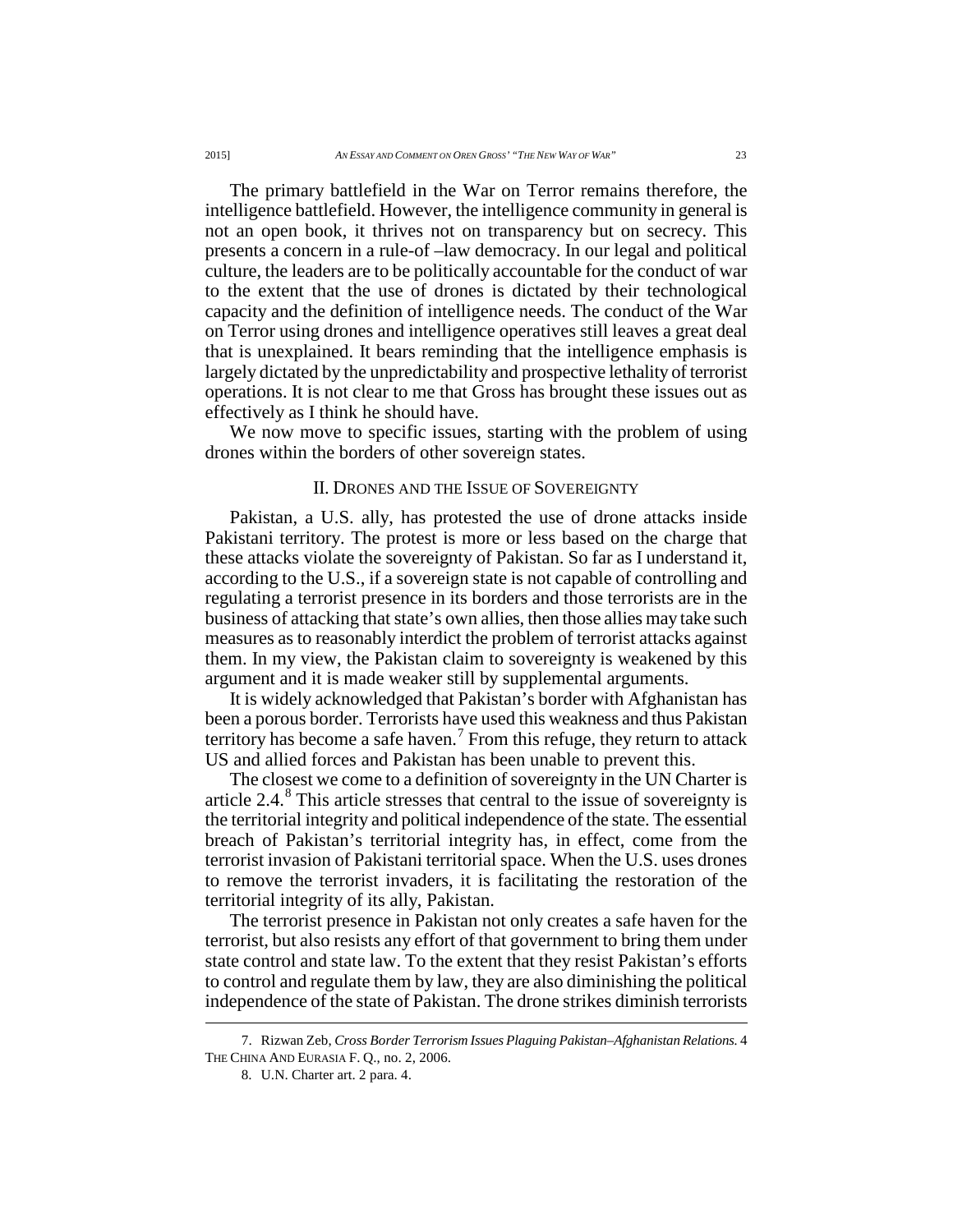The primary battlefield in the War on Terror remains therefore, the intelligence battlefield. However, the intelligence community in general is not an open book, it thrives not on transparency but on secrecy. This presents a concern in a rule-of –law democracy. In our legal and political culture, the leaders are to be politically accountable for the conduct of war to the extent that the use of drones is dictated by their technological capacity and the definition of intelligence needs. The conduct of the War on Terror using drones and intelligence operatives still leaves a great deal that is unexplained. It bears reminding that the intelligence emphasis is largely dictated by the unpredictability and prospective lethality of terrorist operations. It is not clear to me that Gross has brought these issues out as effectively as I think he should have.

We now move to specific issues, starting with the problem of using drones within the borders of other sovereign states.

## II. DRONES AND THE ISSUE OF SOVEREIGNTY

Pakistan, a U.S. ally, has protested the use of drone attacks inside Pakistani territory. The protest is more or less based on the charge that these attacks violate the sovereignty of Pakistan. So far as I understand it, according to the U.S., if a sovereign state is not capable of controlling and regulating a terrorist presence in its borders and those terrorists are in the business of attacking that state's own allies, then those allies may take such measures as to reasonably interdict the problem of terrorist attacks against them. In my view, the Pakistan claim to sovereignty is weakened by this argument and it is made weaker still by supplemental arguments.

It is widely acknowledged that Pakistan's border with Afghanistan has been a porous border. Terrorists have used this weakness and thus Pakistan territory has become a safe haven.<sup>[7](#page-3-0)</sup> From this refuge, they return to attack US and allied forces and Pakistan has been unable to prevent this.

The closest we come to a definition of sovereignty in the UN Charter is article  $2.4<sup>8</sup>$  $2.4<sup>8</sup>$  $2.4<sup>8</sup>$ . This article stresses that central to the issue of sovereignty is the territorial integrity and political independence of the state. The essential breach of Pakistan's territorial integrity has, in effect, come from the terrorist invasion of Pakistani territorial space. When the U.S. uses drones to remove the terrorist invaders, it is facilitating the restoration of the territorial integrity of its ally, Pakistan.

The terrorist presence in Pakistan not only creates a safe haven for the terrorist, but also resists any effort of that government to bring them under state control and state law. To the extent that they resist Pakistan's efforts to control and regulate them by law, they are also diminishing the political independence of the state of Pakistan. The drone strikes diminish terrorists

<span id="page-3-1"></span><span id="page-3-0"></span> <sup>7.</sup> Rizwan Zeb, *Cross Border Terrorism Issues Plaguing Pakistan–Afghanistan Relations.* <sup>4</sup> THE CHINA AND EURASIA F. Q., no. 2, 2006.

<sup>8.</sup> U.N. Charter art. 2 para. 4.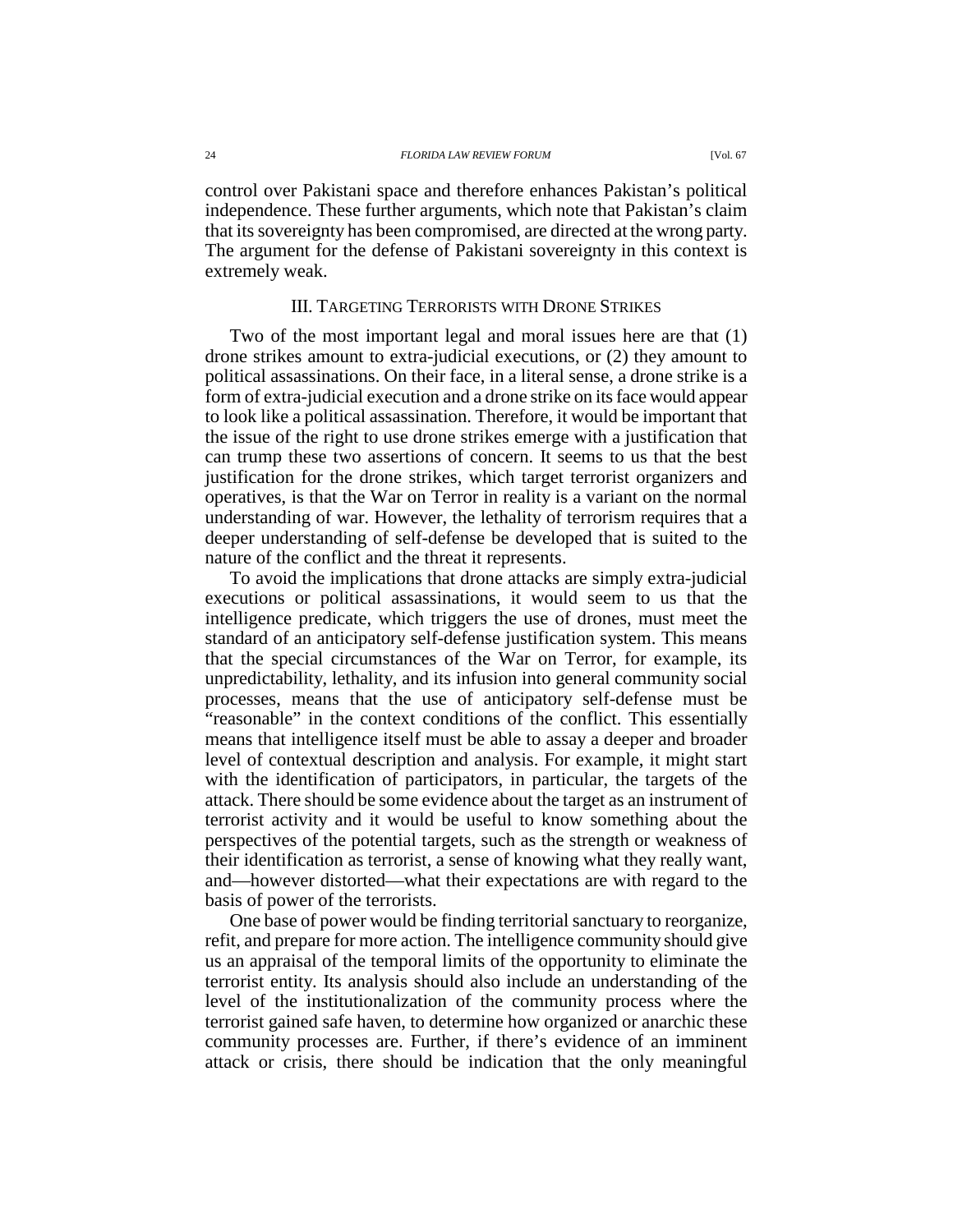control over Pakistani space and therefore enhances Pakistan's political independence. These further arguments, which note that Pakistan's claim that its sovereignty has been compromised, are directed at the wrong party. The argument for the defense of Pakistani sovereignty in this context is extremely weak.

## III. TARGETING TERRORISTS WITH DRONE STRIKES

Two of the most important legal and moral issues here are that (1) drone strikes amount to extra-judicial executions, or (2) they amount to political assassinations. On their face, in a literal sense, a drone strike is a form of extra-judicial execution and a drone strike on its face would appear to look like a political assassination. Therefore, it would be important that the issue of the right to use drone strikes emerge with a justification that can trump these two assertions of concern. It seems to us that the best justification for the drone strikes, which target terrorist organizers and operatives, is that the War on Terror in reality is a variant on the normal understanding of war. However, the lethality of terrorism requires that a deeper understanding of self-defense be developed that is suited to the nature of the conflict and the threat it represents.

To avoid the implications that drone attacks are simply extra-judicial executions or political assassinations, it would seem to us that the intelligence predicate, which triggers the use of drones, must meet the standard of an anticipatory self-defense justification system. This means that the special circumstances of the War on Terror, for example, its unpredictability, lethality, and its infusion into general community social processes, means that the use of anticipatory self-defense must be "reasonable" in the context conditions of the conflict. This essentially means that intelligence itself must be able to assay a deeper and broader level of contextual description and analysis. For example, it might start with the identification of participators, in particular, the targets of the attack. There should be some evidence about the target as an instrument of terrorist activity and it would be useful to know something about the perspectives of the potential targets, such as the strength or weakness of their identification as terrorist, a sense of knowing what they really want, and—however distorted—what their expectations are with regard to the basis of power of the terrorists.

One base of power would be finding territorial sanctuary to reorganize, refit, and prepare for more action. The intelligence community should give us an appraisal of the temporal limits of the opportunity to eliminate the terrorist entity. Its analysis should also include an understanding of the level of the institutionalization of the community process where the terrorist gained safe haven, to determine how organized or anarchic these community processes are. Further, if there's evidence of an imminent attack or crisis, there should be indication that the only meaningful